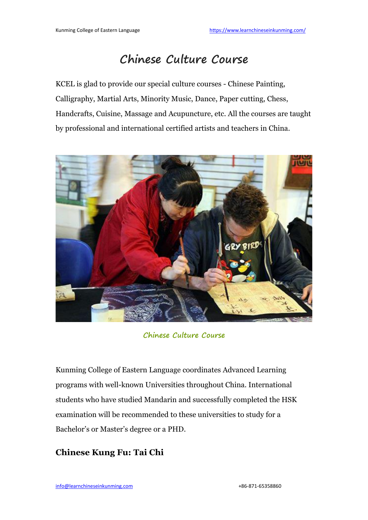# **Chinese Culture Course**

KCEL is glad to provide our special culture courses - Chinese Painting, Calligraphy, Martial Arts, Minority Music, Dance, Paper cutting, Chess, Handcrafts, Cuisine, Massage and [Acupuncture,](https://1.bp.blogspot.com/-tp24lM8d4is/Wv0Vdf09WyI/AAAAAAAAAEc/8to7WvlrRd0OgJ-gOv5fw6oVizbD7scmQCLcBGAs/s1600/chinese+culture+courses.jpg) etc. All the courses are taught by professional and international certified artists and teachers in China.



**[Chinese](https://www.learnchineseinkunming.com/chinese-culture-courses.html) Culture Course**

Kunming College of Eastern Language coordinates Advanced Learning programs with well-known Universities throughout China. International students who have studied Mandarin and successfully completed the HSK examination will be recommended to these universities to study fora Bachelor's or Master's degree or a PHD.

## **Chinese Kung Fu: Tai Chi**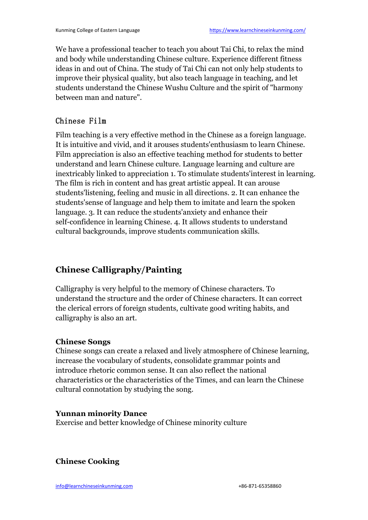We have a professional teacher to teach you about Tai Chi, to relax the mind and body while understanding Chinese culture. Experience different fitness ideas in and out of China. The study of Tai Chi can not only help students to improve their physical quality, but also teach language in teaching, and let students understand the Chinese Wushu Culture and the spirit of "harmony" between man and nature".

### Chinese Film

Film teaching is a very effective method in the Chinese as a foreign language. It is intuitive and vivid, and it arouses [students'enthusiasm](https://1.bp.blogspot.com/-tp24lM8d4is/Wv0Vdf09WyI/AAAAAAAAAEc/8to7WvlrRd0OgJ-gOv5fw6oVizbD7scmQCLcBGAs/s1600/chinese+culture+courses.jpg) to learn Chinese. Film appreciation is also an effective teaching method for students to better understand and learn Chinese culture. Language learning and culture are inextricably linked to appreciation 1. To stimulate students'interest in learning. The film is rich in content and has great artistic appeal. It can arouse students'listening, feeling and music in all directions. 2. It can enhance the students'sense of language and help them to imitate and learn the spoken language. 3. It can reduce the students'anxiety and enhance their self-confidence in learning Chinese. 4. It allows students to understand cultural backgrounds, improve students communication skills.

# **Chinese [Calligraphy/Painting](https://4.bp.blogspot.com/-ntQ3ijtIl9Y/Wv0VwAlNH6I/AAAAAAAAAEk/J8CTbhWk94IzSFkvOCUFDY7KqAcetcnMwCLcBGAs/s1600/chinese+reading+and+writing+course.jpg)**

Calligraphy is very helpful to the memory of Chinese characters. To understand the structure and the order of Chinese characters. It can correct the clerical errors of foreign students, cultivate good writing habits, and calligraphy is also an art.

#### **Chinese Songs**

Chinese songs can create a relaxed and lively atmosphere of Chinese learning, increase the vocabulary of students, consolidate grammar points and introduce rhetoric common sense. It can also reflect the national characteristics or the characteristics of the Times, and can learn the Chinese cultural connotation by studying the song.

#### **Yunnan minority Dance**

Exercise and better knowledge of Chinese minority culture

**Chinese Cooking**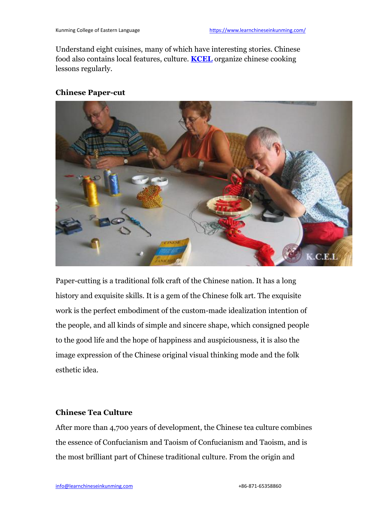Understand eight cuisines, many of which have interesting stories. Chinese food also contains local features, culture. **[KCEL](https://www.learnchineseinkunming.com/chinese-language-courses/)** organize chinese cooking lessons regularly.

#### **Chinese Paper-cut**



[Paper-cutting](https://4.bp.blogspot.com/-ntQ3ijtIl9Y/Wv0VwAlNH6I/AAAAAAAAAEk/J8CTbhWk94IzSFkvOCUFDY7KqAcetcnMwCLcBGAs/s1600/chinese+reading+and+writing+course.jpg) is a traditional folk craft of the Chinese nation. It has a long history and exquisite skills. It is a gem of the Chinese folk art. The exquisite work is the perfect embodiment of the custom-made idealization intention of the people, and all kinds of simple and sincere shape, which consigned people to the good life and the hope of happiness and auspiciousness, it is also the image expression of the Chinese original visual thinking mode and the folk esthetic idea.

#### **Chinese Tea Culture**

After more than 4,700 years of development, the Chinese tea culture combines the essence of Confucianism and Taoism of Confucianism and Taoism, and is the most brilliant part of Chinese traditional culture. From the origin and